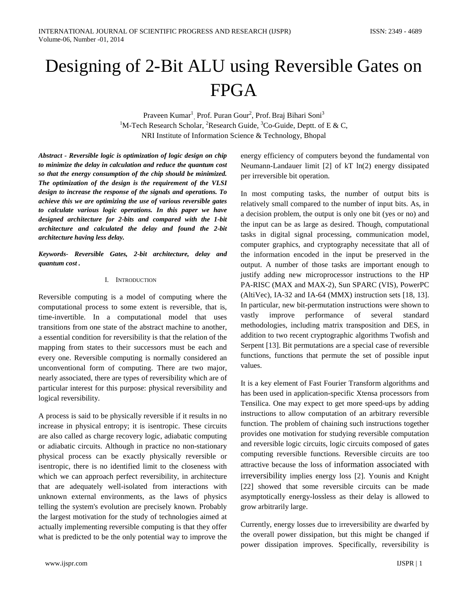# Designing of 2-Bit ALU using Reversible Gates on FPGA

Praveen Kumar<sup>1</sup>, Prof. Puran Gour<sup>2</sup>, Prof. Braj Bihari Soni<sup>3</sup> <sup>1</sup>M-Tech Research Scholar, <sup>2</sup>Research Guide, <sup>3</sup>Co-Guide, Deptt. of E & C, NRI Institute of Information Science & Technology, Bhopal

*Abstract - Reversible logic is optimization of logic design on chip to minimize the delay in calculation and reduce the quantum cost so that the energy consumption of the chip should be minimized. The optimization of the design is the requirement of the VLSI design to increase the response of the signals and operations. To achieve this we are optimizing the use of various reversible gates to calculate various logic operations. In this paper we have designed architecture for 2-bits and compared with the 1-bit architecture and calculated the delay and found the 2-bit architecture having less delay.*

*Keywords- Reversible Gates, 2-bit architecture, delay and quantum cost .*

## I. INTRODUCTION

Reversible computing is a model of computing where the computational process to some extent is reversible, that is, time-invertible. In a computational model that uses transitions from one state of the abstract machine to another, a essential condition for reversibility is that the relation of the mapping from states to their successors must be each and every one. Reversible computing is normally considered an unconventional form of computing. There are two major, nearly associated, there are types of reversibility which are of particular interest for this purpose: physical reversibility and logical reversibility.

A process is said to be physically reversible if it results in no increase in physical entropy; it is isentropic. These circuits are also called as charge recovery logic, adiabatic computing or adiabatic circuits. Although in practice no non-stationary physical process can be exactly physically reversible or isentropic, there is no identified limit to the closeness with which we can approach perfect reversibility, in architecture that are adequately well-isolated from interactions with unknown external environments, as the laws of physics telling the system's evolution are precisely known. Probably the largest motivation for the study of technologies aimed at actually implementing reversible computing is that they offer what is predicted to be the only potential way to improve the

energy efficiency of computers beyond the fundamental von Neumann-Landauer limit [2] of kT ln(2) energy dissipated per irreversible bit operation.

In most computing tasks, the number of output bits is relatively small compared to the number of input bits. As, in a decision problem, the output is only one bit (yes or no) and the input can be as large as desired. Though, computational tasks in digital signal processing, communication model, computer graphics, and cryptography necessitate that all of the information encoded in the input be preserved in the output. A number of those tasks are important enough to justify adding new microprocessor instructions to the HP PA-RISC (MAX and MAX-2), Sun SPARC (VIS), PowerPC (AltiVec), IA-32 and IA-64 (MMX) instruction sets [18, 13]. In particular, new bit-permutation instructions were shown to vastly improve performance of several standard methodologies, including matrix transposition and DES, in addition to two recent cryptographic algorithms Twofish and Serpent [13]. Bit permutations are a special case of reversible functions, functions that permute the set of possible input values.

It is a key element of Fast Fourier Transform algorithms and has been used in application-specific Xtensa processors from Tensilica. One may expect to get more speed-ups by adding instructions to allow computation of an arbitrary reversible function. The problem of chaining such instructions together provides one motivation for studying reversible computation and reversible logic circuits, logic circuits composed of gates computing reversible functions. Reversible circuits are too attractive because the loss of information associated with irreversibility implies energy loss [2]. Younis and Knight [22] showed that some reversible circuits can be made asymptotically energy-lossless as their delay is allowed to grow arbitrarily large.

Currently, energy losses due to irreversibility are dwarfed by the overall power dissipation, but this might be changed if power dissipation improves. Specifically, reversibility is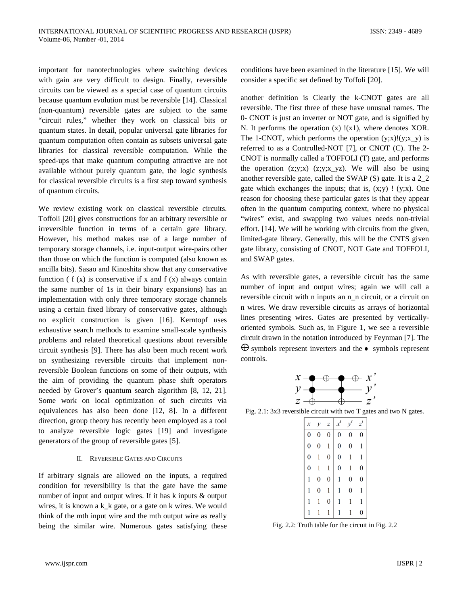important for nanotechnologies where switching devices with gain are very difficult to design. Finally, reversible circuits can be viewed as a special case of quantum circuits because quantum evolution must be reversible [14]. Classical (non-quantum) reversible gates are subject to the same "circuit rules," whether they work on classical bits or quantum states. In detail, popular universal gate libraries for quantum computation often contain as subsets universal gate libraries for classical reversible computation. While the speed-ups that make quantum computing attractive are not available without purely quantum gate, the logic synthesis for classical reversible circuits is a first step toward synthesis of quantum circuits.

We review existing work on classical reversible circuits. Toffoli [20] gives constructions for an arbitrary reversible or irreversible function in terms of a certain gate library. However, his method makes use of a large number of temporary storage channels, i.e. input-output wire-pairs other than those on which the function is computed (also known as ancilla bits). Sasao and Kinoshita show that any conservative function  $(f(x))$  is conservative if x and  $f(x)$  always contain the same number of 1s in their binary expansions) has an implementation with only three temporary storage channels using a certain fixed library of conservative gates, although no explicit construction is given [16]. Kerntopf uses exhaustive search methods to examine small-scale synthesis problems and related theoretical questions about reversible circuit synthesis [9]. There has also been much recent work on synthesizing reversible circuits that implement nonreversible Boolean functions on some of their outputs, with the aim of providing the quantum phase shift operators needed by Grover's quantum search algorithm [8, 12, 21]. Some work on local optimization of such circuits via equivalences has also been done [12, 8]. In a different direction, group theory has recently been employed as a tool to analyze reversible logic gates [19] and investigate generators of the group of reversible gates [5].

#### II. REVERSIBLE GATES AND CIRCUITS

If arbitrary signals are allowed on the inputs, a required condition for reversibility is that the gate have the same number of input and output wires. If it has k inputs & output wires, it is known a k k gate, or a gate on k wires. We would think of the mth input wire and the mth output wire as really being the similar wire. Numerous gates satisfying these conditions have been examined in the literature [15]. We will consider a specific set defined by Toffoli [20].

another definition is Clearly the k-CNOT gates are all reversible. The first three of these have unusual names. The 0- CNOT is just an inverter or NOT gate, and is signified by N. It performs the operation (x) !(x1), where denotes XOR. The 1-CNOT, which performs the operation  $(y; x)!(y; x_y)$  is referred to as a Controlled-NOT [7], or CNOT (C). The 2- CNOT is normally called a TOFFOLI (T) gate, and performs the operation  $(z,y;x)$   $(z,y;x_yz)$ . We will also be using another reversible gate, called the SWAP (S) gate. It is a 2\_2 gate which exchanges the inputs; that is,  $(x,y)$  !  $(y;x)$ . One reason for choosing these particular gates is that they appear often in the quantum computing context, where no physical "wires" exist, and swapping two values needs non-trivial effort. [14]. We will be working with circuits from the given, limited-gate library. Generally, this will be the CNTS given gate library, consisting of CNOT, NOT Gate and TOFFOLI, and SWAP gates.

As with reversible gates, a reversible circuit has the same number of input and output wires; again we will call a reversible circuit with n inputs an n\_n circuit, or a circuit on n wires. We draw reversible circuits as arrays of horizontal lines presenting wires. Gates are presented by verticallyoriented symbols. Such as, in Figure 1, we see a reversible circuit drawn in the notation introduced by Feynman [7]. The  $\oplus$  symbols represent inverters and the  $\bullet$  symbols represent controls.

|               | $x \rightarrow \rightarrow$ |  | $\rightarrow \rightarrow x$ |               |
|---------------|-----------------------------|--|-----------------------------|---------------|
|               |                             |  |                             | $\mathcal{V}$ |
| $\mathcal{Z}$ |                             |  |                             | 7.            |

Fig. 2.1: 3x3 reversible circuit with two T gates and two N gates.

|                |   | z        |                |                |                  |
|----------------|---|----------|----------------|----------------|------------------|
| $\overline{0}$ | 0 | $\bf{0}$ | $\overline{0}$ | $\overline{0}$ | $\overline{0}$   |
| $\pmb{0}$      | 0 | 1        | 0              | 0              | 1                |
| 0              |   | 0        | 0              | 1              | 1                |
| $\overline{0}$ |   | 1        | 0              | 1              | 0                |
| 1              | 0 | 0        | 1              | 0              | 0                |
|                | O | 1        |                | 0              | l                |
|                |   | 0        |                |                | 1                |
|                |   |          |                |                | $\boldsymbol{0}$ |

Fig. 2.2: Truth table for the circuit in Fig. 2.2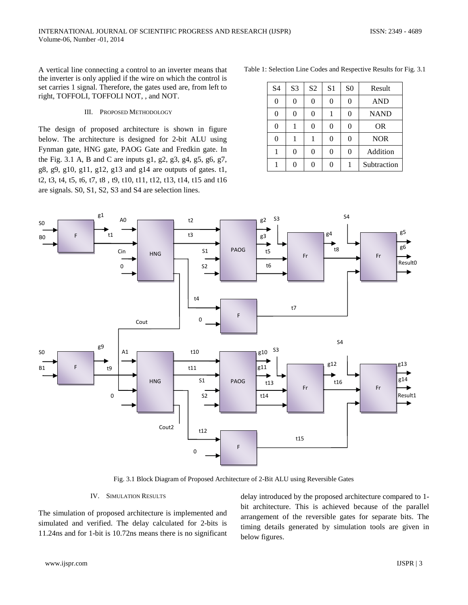A vertical line connecting a control to an inverter means that the inverter is only applied if the wire on which the control is set carries 1 signal. Therefore, the gates used are, from left to right, TOFFOLI, TOFFOLI NOT, , and NOT.

#### III. PROPOSED METHODOLOGY

The design of proposed architecture is shown in figure below. The architecture is designed for 2-bit ALU using Fynman gate, HNG gate, PAOG Gate and Fredkin gate. In the Fig. 3.1 A, B and C are inputs g1, g2, g3, g4, g5, g6, g7, g8, g9, g10, g11, g12, g13 and g14 are outputs of gates. t1, t2, t3, t4, t5, t6, t7, t8 , t9, t10, t11, t12, t13, t14, t15 and t16 are signals. S0, S1, S2, S3 and S4 are selection lines.

Table 1: Selection Line Codes and Respective Results for Fig. 3.1

| S <sub>4</sub> | S <sub>3</sub> | S <sub>2</sub> | S <sub>1</sub> | S <sub>0</sub> | Result      |
|----------------|----------------|----------------|----------------|----------------|-------------|
| 0              | 0              | 0              | 0              | 0              | <b>AND</b>  |
| 0              | 0              | 0              |                | 0              | <b>NAND</b> |
| 0              |                | Λ              | 0              | 0              | <b>OR</b>   |
| 0              |                |                | 0              | 0              | <b>NOR</b>  |
|                | 0              | 0              | 0              | 0              | Addition    |
|                | 0              | 0              | 0              |                | Subtraction |



Fig. 3.1 Block Diagram of Proposed Architecture of 2-Bit ALU using Reversible Gates

## IV. SIMULATION RESULTS

The simulation of proposed architecture is implemented and simulated and verified. The delay calculated for 2-bits is 11.24ns and for 1-bit is 10.72ns means there is no significant delay introduced by the proposed architecture compared to 1 bit architecture. This is achieved because of the parallel arrangement of the reversible gates for separate bits. The timing details generated by simulation tools are given in below figures.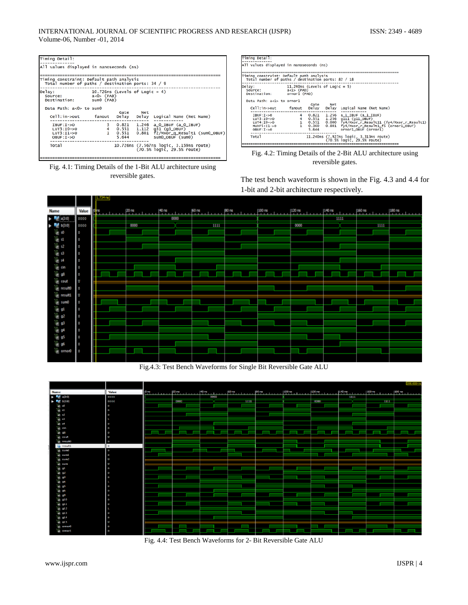| Timing Detail:                                                                                |                                                               |                         |                               |                                                                                           |  |  |
|-----------------------------------------------------------------------------------------------|---------------------------------------------------------------|-------------------------|-------------------------------|-------------------------------------------------------------------------------------------|--|--|
| All values displayed in nanoseconds (ns)                                                      |                                                               |                         |                               |                                                                                           |  |  |
| Timing constraint: Default path analysis<br>Total number of paths / destination ports: 34 / 9 |                                                               |                         |                               |                                                                                           |  |  |
| Delay:<br>Source:<br>Destination:                                                             | 10.726ns (Levels of Logic = 4)<br>$a < 0$ (PAD)<br>sum0 (PAD) |                         |                               |                                                                                           |  |  |
| Data Path: a<0> to sum0<br>$cell:in->out$                                                     | fanout                                                        | Gate<br>Delay           | Net<br>Delay                  | Logical Name (Net Name)                                                                   |  |  |
| $IBUF: I->O$<br>$LUT3:IO->O$<br>$LUT3:11->0$<br>$OBUF: I->O$                                  |                                                               | 0.821<br>0.551<br>5.644 | 1.246<br>0.551 1.112<br>0.801 | a 0 IBUF (a 0 IBUF)<br>q31 (q3_0BUF)<br>f2/Mxor a Result1 (sum0_OBUF)<br>sum0_OBUF (sum0) |  |  |
| Total                                                                                         |                                                               |                         |                               | 10.726ns (7.567ns logic, 3.159ns route)<br>(70.5% logic, 29.5% route)                     |  |  |

Fig. 4.1: Timing Details of the 1-Bit ALU architecture using reversible gates.

| Timing Detail:                                                                                 |                                          |             |       |                                                |  |  |  |
|------------------------------------------------------------------------------------------------|------------------------------------------|-------------|-------|------------------------------------------------|--|--|--|
|                                                                                                |                                          |             |       |                                                |  |  |  |
|                                                                                                | All values displayed in nanoseconds (ns) |             |       |                                                |  |  |  |
|                                                                                                |                                          |             |       |                                                |  |  |  |
|                                                                                                |                                          |             |       |                                                |  |  |  |
| Timing constraint: Default path analysis<br>Total number of paths / destination ports: 82 / 18 |                                          |             |       |                                                |  |  |  |
|                                                                                                |                                          |             |       |                                                |  |  |  |
| Delay:<br>11.240ns (Levels of Logic = 5)                                                       |                                          |             |       |                                                |  |  |  |
|                                                                                                |                                          |             |       |                                                |  |  |  |
| Source:                                                                                        | $a<1$ > (PAD)                            |             |       |                                                |  |  |  |
| Destination:                                                                                   | ornor1 (PAD)                             |             |       |                                                |  |  |  |
|                                                                                                |                                          |             |       |                                                |  |  |  |
| Data Path: a<1> to ornor1                                                                      |                                          |             |       |                                                |  |  |  |
|                                                                                                |                                          | Gate        | Net   |                                                |  |  |  |
| Cell:in->out fanout                                                                            |                                          | Delay       | Delay | Logical Name (Net Name)                        |  |  |  |
|                                                                                                |                                          |             |       |                                                |  |  |  |
| $IBUF: I \rightarrow O$                                                                        |                                          | 0.821       | 1.256 | $a_1$ IBUF $(a_1$ IBUF)                        |  |  |  |
| $LUT3:IO->O$                                                                                   |                                          | 0.551 1.256 |       | g111 (g11_OBUF)                                |  |  |  |
| $LUT4:IO->O$                                                                                   |                                          | 0.551       |       | 0.000 fy4/Mxor_r_Result11 (fy4/Mxor_r_Result1) |  |  |  |
| $MUXF5:11->0$                                                                                  |                                          | 0.360       | 0.801 | fy4/Mxor_r_Result1_f5 (ornor1_0BUF)            |  |  |  |
| $OBUF: I->O$                                                                                   |                                          | 5.644       |       | ornor1_OBUF (ornor1)                           |  |  |  |
|                                                                                                |                                          |             |       |                                                |  |  |  |
| <b>Total</b>                                                                                   |                                          |             |       | 11.240ns (7.927ns logic, 3.313ns route)        |  |  |  |
|                                                                                                |                                          |             |       | (70.5% logic, 29.5% route)                     |  |  |  |
|                                                                                                |                                          |             |       |                                                |  |  |  |



The test bench waveform is shown in the Fig. 4.3 and 4.4 for 1-bit and 2-bit architecture respectively.



Fig.4.3: Test Bench Waveforms for Single Bit Reversible Gate ALU



Fig. 4.4: Test Bench Waveforms for 2- Bit Reversible Gate ALU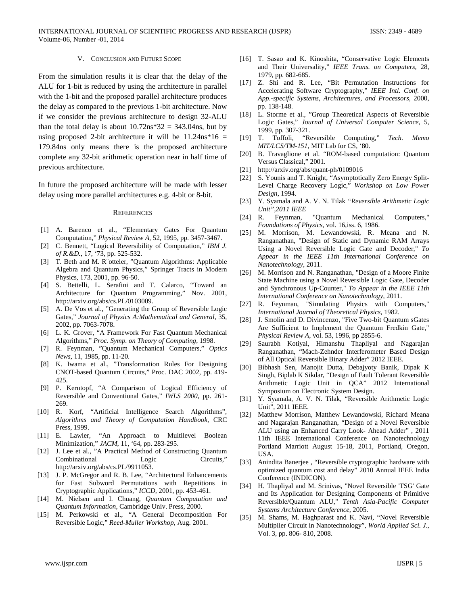# V. CONCLUSION AND FUTURE SCOPE

From the simulation results it is clear that the delay of the ALU for 1-bit is reduced by using the architecture in parallel with the 1-bit and the proposed parallel architecture produces the delay as compared to the previous 1-bit architecture. Now if we consider the previous architecture to design 32-ALU than the total delay is about  $10.72$ ns\*32 = 343.04ns, but by using proposed 2-bit architecture it will be  $11.24$ ns \* $16 =$ 179.84ns only means there is the proposed architecture complete any 32-bit arithmetic operation near in half time of previous architecture.

In future the proposed architecture will be made with lesser delay using more parallel architectures e.g. 4-bit or 8-bit.

#### **REFERENCES**

- [1] A. Barenco et al., "Elementary Gates For Quantum Computation," *Physical Review A*, 52, 1995, pp. 3457-3467.
- [2] C. Bennett, "Logical Reversibility of Computation," *IBM J. of R.&D.*, 17, '73, pp. 525-532.
- [3] T. Beth and M. R¨otteler, "Quantum Algorithms: Applicable Algebra and Quantum Physics," Springer Tracts in Modern Physics, 173, 2001, pp. 96-50.
- [4] S. Bettelli, L. Serafini and T. Calarco, "Toward an Architecture for Quantum Programming," Nov. 2001, http://arxiv.org/abs/cs.PL/0103009.
- [5] A. De Vos et al., "Generating the Group of Reversible Logic Gates," *Journal of Physics A:Mathematical and General*, 35, 2002, pp. 7063-7078.
- [6] L. K. Grover, "A Framework For Fast Quantum Mechanical Algorithms," *Proc. Symp. on Theory of Computing*, 1998.
- [7] R. Feynman, "Quantum Mechanical Computers," *Optics News*, 11, 1985, pp. 11-20.
- [8] K. Iwama et al., "Transformation Rules For Designing CNOT-based Quantum Circuits," Proc. DAC 2002, pp. 419- 425.
- [9] P. Kerntopf, "A Comparison of Logical Efficiency of Reversible and Conventional Gates," *IWLS 2000*, pp. 261- 269.
- [10] R. Korf, "Artificial Intelligence Search Algorithms", *Algorithms and Theory of Computation Handbook*, CRC Press, 1999.
- [11] E. Lawler, "An Approach to Multilevel Boolean Minimization," *JACM*, 11, '64, pp. 283-295.
- [12] J. Lee et al., "A Practical Method of Constructing Quantum Combinational Logic Circuits," http://arxiv.org/abs/cs.PL/9911053.
- [13] J. P. McGregor and R. B. Lee, "Architectural Enhancements for Fast Subword Permutations with Repetitions in Cryptographic Applications," *ICCD*, 2001, pp. 453-461.
- [14] M. Nielsen and I. Chuang, *Quantum Computation and Quantum Information*, Cambridge Univ. Press, 2000.
- [15] M. Perkowski et al., "A General Decomposition For Reversible Logic," *Reed-Muller Workshop*, Aug. 2001.
- [16] T. Sasao and K. Kinoshita, "Conservative Logic Elements and Their Universality," *IEEE Trans. on Computers*, 28, 1979, pp. 682-685.
- [17] Z. Shi and R. Lee, "Bit Permutation Instructions for Accelerating Software Cryptography," *IEEE Intl. Conf. on App.-specific Systems, Architectures, and Processors*, 2000, pp. 138-148.
- [18] L. Storme et al., "Group Theoretical Aspects of Reversible Logic Gates," *Journal of Universal Computer Science*, 5, 1999, pp. 307-321.
- [19] T. Toffoli, "Reversible Computing," *Tech. Memo MIT/LCS/TM-151*, MIT Lab for CS, '80.
- [20] B. Travaglione et al. "ROM-based computation: Quantum Versus Classical," 2001.
- [21] http://arxiv.org/abs/quant-ph/0109016
- [22] S. Younis and T. Knight, "Asymptotically Zero Energy Split-Level Charge Recovery Logic," *Workshop on Low Power Design*, 1994.
- [23] Y. Syamala and A. V. N. Tilak *"Reversible Arithmetic Logic Unit",2011 IEEE*
- [24] R. Feynman, "Quantum Mechanical Computers," *Foundations of Physics*, vol. 16,iss. 6, 1986.
- [25] M. Morrison, M. Lewandowski, R. Meana and N. Ranganathan, "Design of Static and Dynamic RAM Arrays Using a Novel Reversible Logic Gate and Decoder," *To Appear in the IEEE 11th International Conference on Nanotechnology*, 2011.
- [26] M. Morrison and N. Ranganathan, "Design of a Moore Finite State Machine using a Novel Reversible Logic Gate, Decoder and Synchronous Up-Counter," *To Appear in the IEEE 11th International Conference on Nanotechnology*, 2011.
- [27] R. Feynman, "Simulating Physics with Computers," *International Journal of Theoretical Physics*, 1982.
- [28] J. Smolin and D. Divincenzo, "Five Two-bit Quantum sGates Are Sufficient to Implement the Quantum Fredkin Gate," *Physical Review A*, vol. 53, 1996, pp 2855-6.
- [29] Saurabh Kotiyal, Himanshu Thapliyal and Nagarajan Ranganathan, "Mach-Zehnder Interferometer Based Design of All Optical Reversible Binary Adder" 2012 IEEE.
- [30] Bibhash Sen, Manojit Dutta, Debajyoty Banik, Dipak K Singh, Biplab K Sikdar, "Design of Fault Tolerant Reversible Arithmetic Logic Unit in QCA" 2012 International Symposium on Electronic System Design.
- [31] Y. Syamala, A. V. N. Tilak, "Reversible Arithmetic Logic Unit", 2011 IEEE.
- [32] Matthew Morrison, Matthew Lewandowski, Richard Meana and Nagarajan Ranganathan, "Design of a Novel Reversible ALU using an Enhanced Carry Look- Ahead Adder" , 2011 11th IEEE International Conference on Nanotechnology Portland Marriott August 15-18, 2011, Portland, Oregon, USA.
- [33] Anindita Banerjee , "Reversible cryptographic hardware with optimized quantum cost and delay" 2010 Annual IEEE India Conference (INDICON).
- [34] H. Thapliyal and M. Srinivas, "Novel Reversible 'TSG' Gate and Its Application for Designing Components of Primitive Reversible/Quantum ALU," *Tenth Asia-Pacific Computer Systems Architecture Conference*, 2005.
- [35] M. Shams, M. Haghparast and K. Navi, "Novel Reversible Multiplier Circuit in Nanotechnology", *World Applied Sci. J*., Vol. 3, pp. 806- 810, 2008.